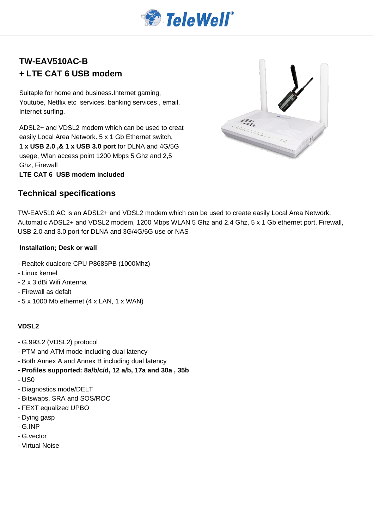

# **TW-EAV510AC-B + LTE CAT 6 USB modem**

Suitaple for home and business.Internet gaming, Youtube, Netflix etc services, banking services , email, Internet surfing.

ADSL2+ and VDSL2 modem which can be used to creat easily Local Area Network. 5 x 1 Gb Ethernet switch, **1 x USB 2.0 ,& 1 x USB 3.0 port** for DLNA and 4G/5G usege, Wlan access point 1200 Mbps 5 Ghz and 2,5 Ghz, Firewall

**LTE CAT 6 USB modem included**

## **Technical specifications**



TW-EAV510 AC is an ADSL2+ and VDSL2 modem which can be used to create easily Local Area Network, Automatic ADSL2+ and VDSL2 modem, 1200 Mbps WLAN 5 Ghz and 2.4 Ghz, 5 x 1 Gb ethernet port, Firewall, USB 2.0 and 3.0 port for DLNA and 3G/4G/5G use or NAS

#### **Installation; Desk or wall**

- Realtek dualcore CPU P8685PB (1000Mhz)
- Linux kernel
- 2 x 3 dBi Wifi Antenna
- Firewall as defalt
- 5 x 1000 Mb ethernet (4 x LAN, 1 x WAN)

### **VDSL2**

- G.993.2 (VDSL2) protocol
- PTM and ATM mode including dual latency
- Both Annex A and Annex B including dual latency
- **Profiles supported: 8a/b/c/d, 12 a/b, 17a and 30a , 35b**
- US0
- Diagnostics mode/DELT
- Bitswaps, SRA and SOS/ROC
- FEXT equalized UPBO
- Dying gasp
- G.INP
- G.vector
- Virtual Noise